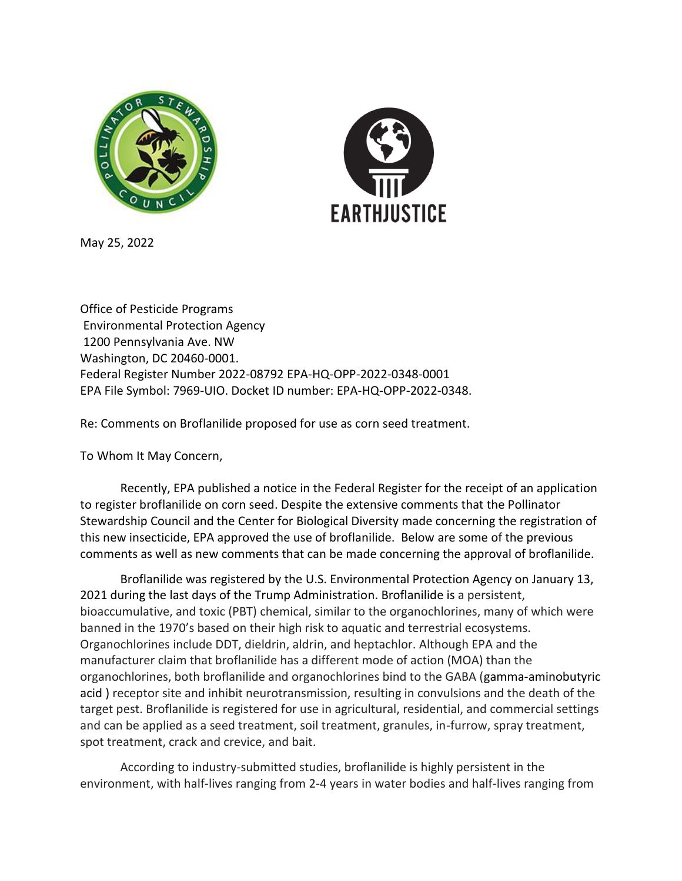



May 25, 2022

Office of Pesticide Programs Environmental Protection Agency 1200 Pennsylvania Ave. NW Washington, DC 20460-0001. Federal Register Number 2022-08792 EPA-HQ-OPP-2022-0348-0001 EPA File Symbol: 7969-UIO. Docket ID number: EPA-HQ-OPP-2022-0348.

Re: Comments on Broflanilide proposed for use as corn seed treatment.

To Whom It May Concern,

Recently, EPA published a notice in the Federal Register for the receipt of an application to register broflanilide on corn seed. Despite the extensive comments that the Pollinator Stewardship Council and the Center for Biological Diversity made concerning the registration of this new insecticide, EPA approved the use of broflanilide. Below are some of the previous comments as well as new comments that can be made concerning the approval of broflanilide.

Broflanilide was registered by the U.S. Environmental Protection Agency on January 13, 2021 during the last days of the Trump Administration. Broflanilide is a persistent, bioaccumulative, and toxic (PBT) chemical, similar to the organochlorines, many of which were banned in the 1970's based on their high risk to aquatic and terrestrial ecosystems. Organochlorines include DDT, dieldrin, aldrin, and heptachlor. Although EPA and the manufacturer claim that broflanilide has a different mode of action (MOA) than the organochlorines, both broflanilide and organochlorines bind to the GABA (gamma-aminobutyric acid ) receptor site and inhibit neurotransmission, resulting in convulsions and the death of the target pest. Broflanilide is registered for use in agricultural, residential, and commercial settings and can be applied as a seed treatment, soil treatment, granules, in-furrow, spray treatment, spot treatment, crack and crevice, and bait.

According to industry-submitted studies, broflanilide is highly persistent in the environment, with half-lives ranging from 2-4 years in water bodies and half-lives ranging from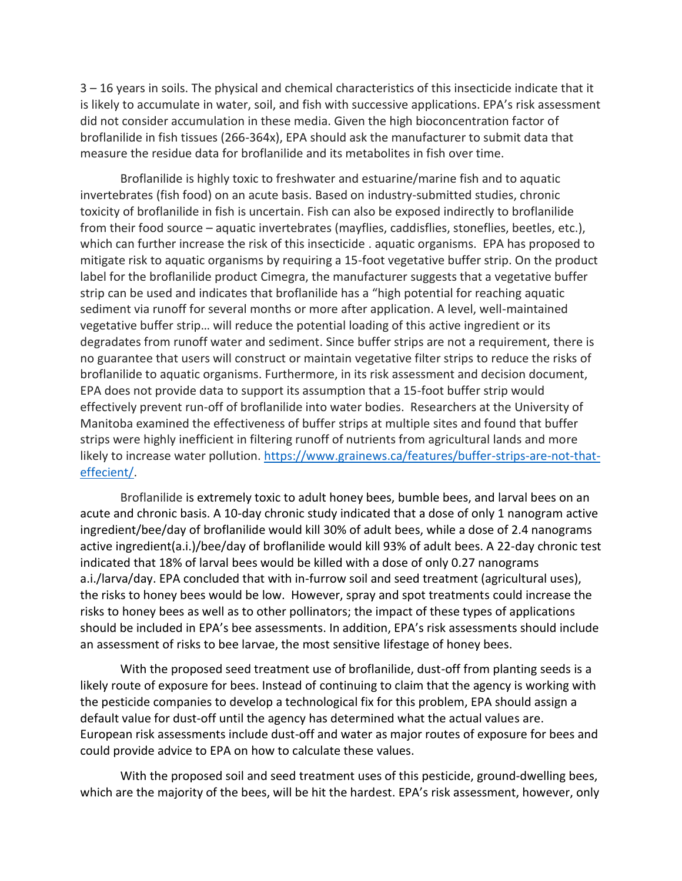3 – 16 years in soils. The physical and chemical characteristics of this insecticide indicate that it is likely to accumulate in water, soil, and fish with successive applications. EPA's risk assessment did not consider accumulation in these media. Given the high bioconcentration factor of broflanilide in fish tissues (266-364x), EPA should ask the manufacturer to submit data that measure the residue data for broflanilide and its metabolites in fish over time.

Broflanilide is highly toxic to freshwater and estuarine/marine fish and to aquatic invertebrates (fish food) on an acute basis. Based on industry-submitted studies, chronic toxicity of broflanilide in fish is uncertain. Fish can also be exposed indirectly to broflanilide from their food source – aquatic invertebrates (mayflies, caddisflies, stoneflies, beetles, etc.), which can further increase the risk of this insecticide . aquatic organisms. EPA has proposed to mitigate risk to aquatic organisms by requiring a 15-foot vegetative buffer strip. On the product label for the broflanilide product Cimegra, the manufacturer suggests that a vegetative buffer strip can be used and indicates that broflanilide has a "high potential for reaching aquatic sediment via runoff for several months or more after application. A level, well-maintained vegetative buffer strip… will reduce the potential loading of this active ingredient or its degradates from runoff water and sediment. Since buffer strips are not a requirement, there is no guarantee that users will construct or maintain vegetative filter strips to reduce the risks of broflanilide to aquatic organisms. Furthermore, in its risk assessment and decision document, EPA does not provide data to support its assumption that a 15-foot buffer strip would effectively prevent run-off of broflanilide into water bodies. Researchers at the University of Manitoba examined the effectiveness of buffer strips at multiple sites and found that buffer strips were highly inefficient in filtering runoff of nutrients from agricultural lands and more likely to increase water pollution. [https://www.grainews.ca/features/buffer-strips-are-not-that](https://www.grainews.ca/features/buffer-strips-are-not-that-effecient/)[effecient/.](https://www.grainews.ca/features/buffer-strips-are-not-that-effecient/)

Broflanilide is extremely toxic to adult honey bees, bumble bees, and larval bees on an acute and chronic basis. A 10-day chronic study indicated that a dose of only 1 nanogram active ingredient/bee/day of broflanilide would kill 30% of adult bees, while a dose of 2.4 nanograms active ingredient(a.i.)/bee/day of broflanilide would kill 93% of adult bees. A 22-day chronic test indicated that 18% of larval bees would be killed with a dose of only 0.27 nanograms a.i./larva/day. EPA concluded that with in-furrow soil and seed treatment (agricultural uses), the risks to honey bees would be low. However, spray and spot treatments could increase the risks to honey bees as well as to other pollinators; the impact of these types of applications should be included in EPA's bee assessments. In addition, EPA's risk assessments should include an assessment of risks to bee larvae, the most sensitive lifestage of honey bees.

With the proposed seed treatment use of broflanilide, dust-off from planting seeds is a likely route of exposure for bees. Instead of continuing to claim that the agency is working with the pesticide companies to develop a technological fix for this problem, EPA should assign a default value for dust-off until the agency has determined what the actual values are. European risk assessments include dust-off and water as major routes of exposure for bees and could provide advice to EPA on how to calculate these values.

With the proposed soil and seed treatment uses of this pesticide, ground-dwelling bees, which are the majority of the bees, will be hit the hardest. EPA's risk assessment, however, only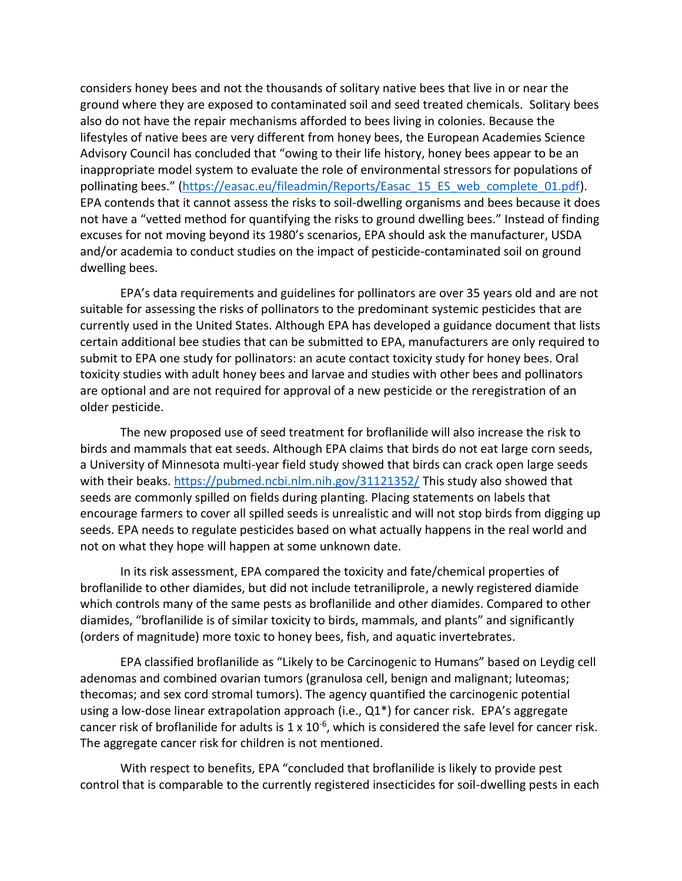considers honey bees and not the thousands of solitary native bees that live in or near the ground where they are exposed to contaminated soil and seed treated chemicals. Solitary bees also do not have the repair mechanisms afforded to bees living in colonies. Because the lifestyles of native bees are very different from honey bees, the European Academies Science Advisory Council has concluded that "owing to their life history, honey bees appear to be an inappropriate model system to evaluate the role of environmental stressors for populations of pollinating bees." ([https://easac.eu/fileadmin/Reports/Easac\\_15\\_ES\\_web\\_complete\\_01.pdf\)](https://easac.eu/fileadmin/Reports/Easac_15_ES_web_complete_01.pdf). EPA contends that it cannot assess the risks to soil-dwelling organisms and bees because it does not have a "vetted method for quantifying the risks to ground dwelling bees." Instead of finding excuses for not moving beyond its 1980's scenarios, EPA should ask the manufacturer, USDA and/or academia to conduct studies on the impact of pesticide-contaminated soil on ground dwelling bees.

EPA's data requirements and guidelines for pollinators are over 35 years old and are not suitable for assessing the risks of pollinators to the predominant systemic pesticides that are currently used in the United States. Although EPA has developed a guidance document that lists certain additional bee studies that can be submitted to EPA, manufacturers are only required to submit to EPA one study for pollinators: an acute contact toxicity study for honey bees. Oral toxicity studies with adult honey bees and larvae and studies with other bees and pollinators are optional and are not required for approval of a new pesticide or the reregistration of an older pesticide.

The new proposed use of seed treatment for broflanilide will also increase the risk to birds and mammals that eat seeds. Although EPA claims that birds do not eat large corn seeds, a University of Minnesota multi-year field study showed that birds can crack open large seeds with their beaks.<https://pubmed.ncbi.nlm.nih.gov/31121352/> This study also showed that seeds are commonly spilled on fields during planting. Placing statements on labels that encourage farmers to cover all spilled seeds is unrealistic and will not stop birds from digging up seeds. EPA needs to regulate pesticides based on what actually happens in the real world and not on what they hope will happen at some unknown date.

In its risk assessment, EPA compared the toxicity and fate/chemical properties of broflanilide to other diamides, but did not include tetraniliprole, a newly registered diamide which controls many of the same pests as broflanilide and other diamides. Compared to other diamides, "broflanilide is of similar toxicity to birds, mammals, and plants" and significantly (orders of magnitude) more toxic to honey bees, fish, and aquatic invertebrates.

EPA classified broflanilide as "Likely to be Carcinogenic to Humans" based on Leydig cell adenomas and combined ovarian tumors (granulosa cell, benign and malignant; luteomas; thecomas; and sex cord stromal tumors). The agency quantified the carcinogenic potential using a low-dose linear extrapolation approach (i.e., Q1\*) for cancer risk. EPA's aggregate cancer risk of broflanilide for adults is  $1 \times 10^{-6}$ , which is considered the safe level for cancer risk. The aggregate cancer risk for children is not mentioned.

With respect to benefits, EPA "concluded that broflanilide is likely to provide pest control that is comparable to the currently registered insecticides for soil-dwelling pests in each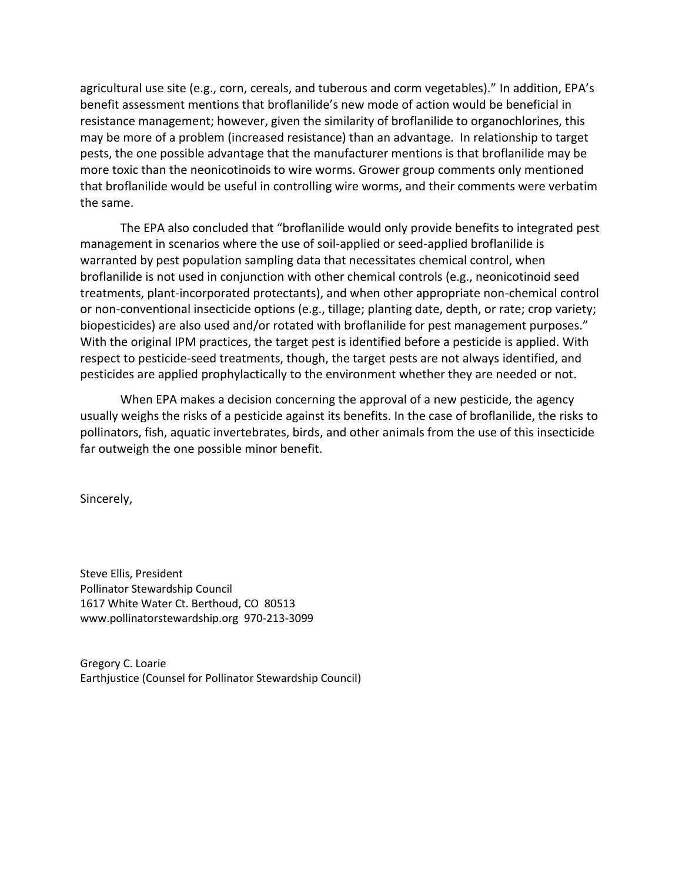agricultural use site (e.g., corn, cereals, and tuberous and corm vegetables)." In addition, EPA's benefit assessment mentions that broflanilide's new mode of action would be beneficial in resistance management; however, given the similarity of broflanilide to organochlorines, this may be more of a problem (increased resistance) than an advantage. In relationship to target pests, the one possible advantage that the manufacturer mentions is that broflanilide may be more toxic than the neonicotinoids to wire worms. Grower group comments only mentioned that broflanilide would be useful in controlling wire worms, and their comments were verbatim the same.

The EPA also concluded that "broflanilide would only provide benefits to integrated pest management in scenarios where the use of soil-applied or seed-applied broflanilide is warranted by pest population sampling data that necessitates chemical control, when broflanilide is not used in conjunction with other chemical controls (e.g., neonicotinoid seed treatments, plant-incorporated protectants), and when other appropriate non-chemical control or non-conventional insecticide options (e.g., tillage; planting date, depth, or rate; crop variety; biopesticides) are also used and/or rotated with broflanilide for pest management purposes." With the original IPM practices, the target pest is identified before a pesticide is applied. With respect to pesticide-seed treatments, though, the target pests are not always identified, and pesticides are applied prophylactically to the environment whether they are needed or not.

When EPA makes a decision concerning the approval of a new pesticide, the agency usually weighs the risks of a pesticide against its benefits. In the case of broflanilide, the risks to pollinators, fish, aquatic invertebrates, birds, and other animals from the use of this insecticide far outweigh the one possible minor benefit.

Sincerely,

Steve Ellis, President Pollinator Stewardship Council 1617 White Water Ct. Berthoud, CO 80513 www.pollinatorstewardship.org 970‐213‐3099

Gregory C. Loarie Earthjustice (Counsel for Pollinator Stewardship Council)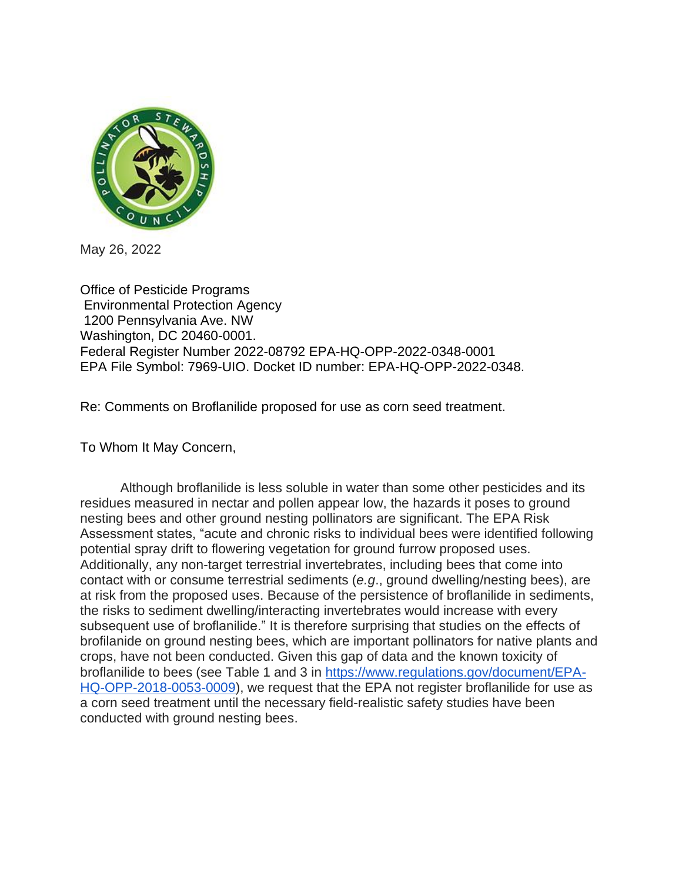

May 26, 2022

Office of Pesticide Programs Environmental Protection Agency 1200 Pennsylvania Ave. NW Washington, DC 20460-0001. Federal Register Number 2022-08792 EPA-HQ-OPP-2022-0348-0001 EPA File Symbol: 7969-UIO. Docket ID number: EPA-HQ-OPP-2022-0348.

Re: Comments on Broflanilide proposed for use as corn seed treatment.

To Whom It May Concern,

Although broflanilide is less soluble in water than some other pesticides and its residues measured in nectar and pollen appear low, the hazards it poses to ground nesting bees and other ground nesting pollinators are significant. The EPA Risk Assessment states, "acute and chronic risks to individual bees were identified following potential spray drift to flowering vegetation for ground furrow proposed uses. Additionally, any non-target terrestrial invertebrates, including bees that come into contact with or consume terrestrial sediments (*e.g*., ground dwelling/nesting bees), are at risk from the proposed uses. Because of the persistence of broflanilide in sediments, the risks to sediment dwelling/interacting invertebrates would increase with every subsequent use of broflanilide." It is therefore surprising that studies on the effects of brofilanide on ground nesting bees, which are important pollinators for native plants and crops, have not been conducted. Given this gap of data and the known toxicity of broflanilide to bees (see Table 1 and 3 in [https://www.regulations.gov/document/EPA-](https://www.regulations.gov/document/EPA-HQ-OPP-2018-0053-0009)[HQ-OPP-2018-0053-0009\)](https://www.regulations.gov/document/EPA-HQ-OPP-2018-0053-0009), we request that the EPA not register broflanilide for use as a corn seed treatment until the necessary field-realistic safety studies have been conducted with ground nesting bees.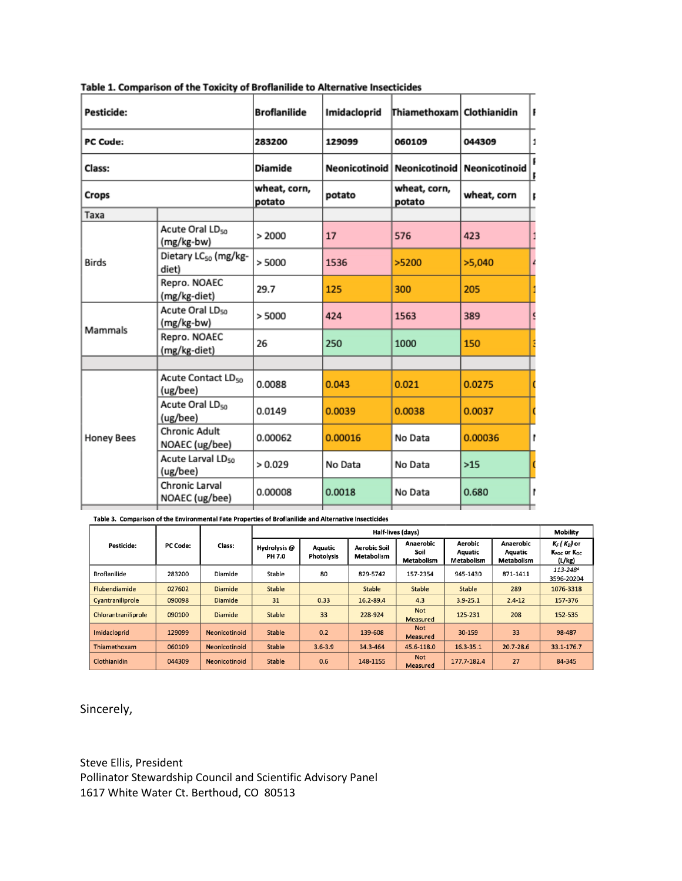| Pesticide:        |                                            | <b>Broflanilide</b>    | Imidacloprid  | Thiamethoxam   Clothianidin |                       |    |
|-------------------|--------------------------------------------|------------------------|---------------|-----------------------------|-----------------------|----|
| PC Code:          |                                            | 283200<br>129099       |               | 060109                      | 044309                | 1  |
| Class:            |                                            | <b>Diamide</b>         | Neonicotinoid | <b>Neonicotinoid</b>        | Neonicotinoid         |    |
| Crops             |                                            | wheat, corn,<br>potato | potato        | wheat, corn,<br>potato      | I<br>wheat, corn<br>ľ |    |
| Taxa              |                                            |                        |               |                             |                       |    |
| <b>Birds</b>      | Acute Oral LD <sub>50</sub><br>(mg/kg-bw)  | > 2000                 | 17            | 576                         | 423                   |    |
|                   | Dietary LC <sub>50</sub> (mg/kg-<br>diet)  | > 5000                 | 1536          | >5200                       | >5,040                | Z, |
|                   | Repro. NOAEC<br>(mg/kg-diet)               | 29.7                   | 125           | 300                         | 205                   |    |
| Mammals           | Acute Oral LD <sub>50</sub><br>(mg/kg-bw)  | > 5000                 | 424           | 1563                        | 389                   |    |
|                   | Repro. NOAEC<br>(mg/kg-diet)               | 26                     | 250           | 1000                        | 150                   |    |
|                   |                                            |                        |               |                             |                       |    |
| <b>Honey Bees</b> | Acute Contact LD <sub>50</sub><br>(ug/bee) | 0.0088                 | 0.043         | 0.021                       | 0.0275                |    |
|                   | Acute Oral LD <sub>50</sub><br>(ug/bee)    | 0.0149                 | 0.0039        | 0.0038                      | 0.0037                |    |
|                   | <b>Chronic Adult</b><br>NOAEC (ug/bee)     | 0.00062                | 0.00016       | No Data                     | 0.00036               | ľ  |
|                   | Acute Larval LDso<br>(ug/bee)              | > 0.029                | No Data       | No Data                     | $>15$                 |    |
|                   | Chronic Larval<br>NOAEC (ug/bee)           | 0.00008                | 0.0018        | No Data                     | 0.680                 | ľ  |
|                   |                                            |                        |               |                             |                       |    |

Table 1. Comparison of the Toxicity of Broflanilide to Alternative Insecticides

Table 3. Comparison of the Environmental Fate Properties of Broflanilide and Alternative Insecticides

|                     | <b>PC Code:</b> | Class:               | Half-lives (days)      |                              |                                   |                                 |                                  | <b>Mobility</b>                           |                                                                     |
|---------------------|-----------------|----------------------|------------------------|------------------------------|-----------------------------------|---------------------------------|----------------------------------|-------------------------------------------|---------------------------------------------------------------------|
| <b>Pesticide:</b>   |                 |                      | Hydrolysis @<br>PH 7.0 | Aquatic<br><b>Photolysis</b> | <b>Aerobic Soil</b><br>Metabolism | Anaerobic<br>Soil<br>Metabolism | Aerobic<br>Aquatic<br>Metabolism | Anaerobic<br>Aquatic<br><b>Metabolism</b> | $K_F$ ( $K_D$ ) or<br>K <sub>FOC</sub> or K <sub>oc</sub><br>(L/kg) |
| <b>Broflanilide</b> | 283200          | Diamide              | Stable                 | 80                           | 829-5742                          | 157-2354                        | 945-1430                         | 871-1411                                  | 113-248A<br>3596-20204                                              |
| Flubendiamide       | 027602          | <b>Diamide</b>       | <b>Stable</b>          |                              | <b>Stable</b>                     | <b>Stable</b>                   | <b>Stable</b>                    | 289                                       | 1076-3318                                                           |
| Cvantraniliprole    | 090098          | <b>Diamide</b>       | 31                     | 0.33                         | 16.2-89.4                         | 4.3                             | $3.9 - 25.1$                     | $2.4 - 12$                                | 157-376                                                             |
| Chlorantraniliprole | 090100          | <b>Diamide</b>       | Stable                 | 33                           | 228-924                           | <b>Not</b><br><b>Measured</b>   | 125-231                          | 208                                       | 152-535                                                             |
| Imidacloprid        | 129099          | Neonicotinoid        | <b>Stable</b>          | 0.2                          | 139-608                           | <b>Not</b><br><b>Measured</b>   | 30-159                           | 33                                        | 98-487                                                              |
| Thiamethoxam        | 060109          | <b>Neonicotinoid</b> | <b>Stable</b>          | $3.6 - 3.9$                  | 34.3-464                          | 45.6-118.0                      | 16.3-35.1                        | $20.7 - 28.6$                             | 33.1-176.7                                                          |
| Clothianidin        | 044309          | <b>Neonicotinoid</b> | <b>Stable</b>          | 0.6                          | 148-1155                          | <b>Not</b><br><b>Measured</b>   | 177.7-182.4                      | 27                                        | 84-345                                                              |

Sincerely,

Steve Ellis, President Pollinator Stewardship Council and Scientific Advisory Panel 1617 White Water Ct. Berthoud, CO 80513